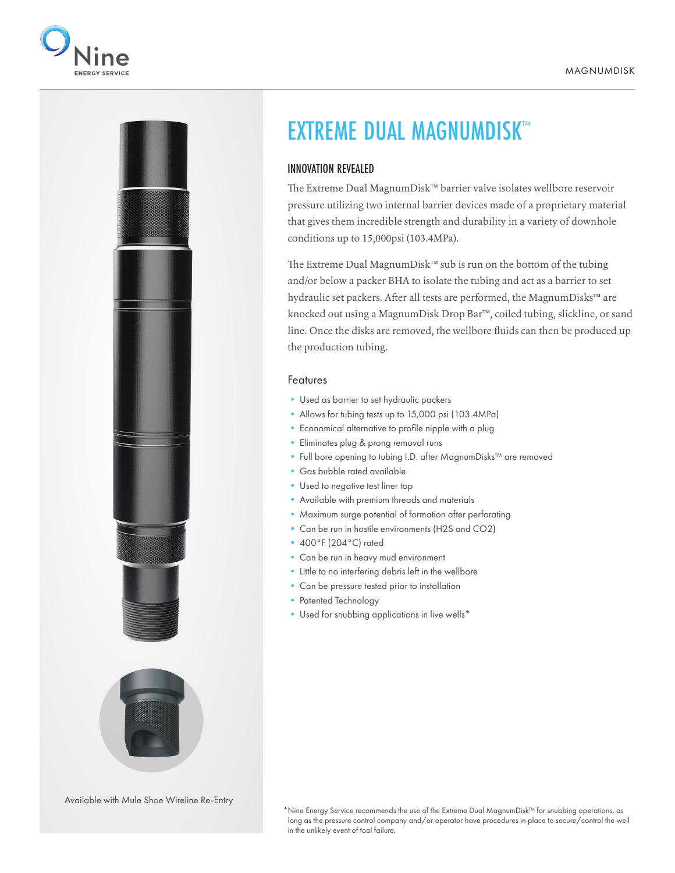



## EXTREME DUAL MAGNUMDISK™

## INNOVATION REVEALED

The Extreme Dual MagnumDisk™ barrier valve isolates wellbore reservoir pressure utilizing two internal barrier devices made of a proprietary material that gives them incredible strength and durability in a variety of downhole conditions up to 15,000psi (103.4MPa).

The Extreme Dual MagnumDisk™ sub is run on the bottom of the tubing and/or below a packer BHA to isolate the tubing and act as a barrier to set hydraulic set packers. After all tests are performed, the MagnumDisks™ are knocked out using a MagnumDisk Drop Bar™, coiled tubing, slickline, or sand line. Once the disks are removed, the wellbore fluids can then be produced up the production tubing.

## Features

- Used as barrier to set hydraulic packers
- Allows for tubing tests up to 15,000 psi (103.4MPa)
- Economical alternative to profile nipple with a plug
- Eliminates plug & prong removal runs
- Full bore opening to tubing I.D. after MagnumDisks™ are removed
- Gas bubble rated available
- Used to negative test liner top
- Available with premium threads and materials
- Maximum surge potential of formation after perforating
- Can be run in hostile environments (H2S and CO2)
- 400°F (204°C) rated
- Can be run in heavy mud environment
- Little to no interfering debris left in the wellbore
- Can be pressure tested prior to installation
- Patented Technology
- Used for snubbing applications in live wells\*

Available with Mule Shoe Wireline Re-Entry

\*Nine Energy Service recommends the use of the Extreme Dual MagnumDisk™ for snubbing operations, as long as the pressure control company and/or operator have procedures in place to secure/control the well in the unlikely event of tool failure.